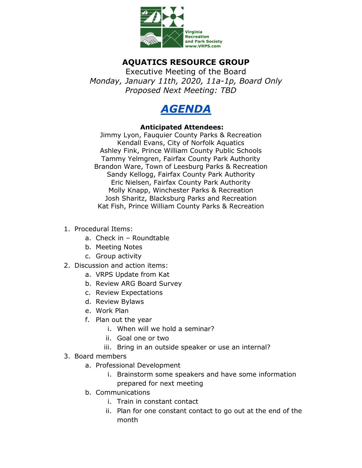

## **AQUATICS RESOURCE GROUP**

Executive Meeting of the Board *Monday, January 11th, 2020, 11a-1p, Board Only Proposed Next Meeting: TBD*



## **Anticipated Attendees:**

Jimmy Lyon, Fauquier County Parks & Recreation Kendall Evans, City of Norfolk Aquatics Ashley Fink, Prince William County Public Schools Tammy Yelmgren, Fairfax County Park Authority Brandon Ware, Town of Leesburg Parks & Recreation Sandy Kellogg, Fairfax County Park Authority Eric Nielsen, Fairfax County Park Authority Molly Knapp, Winchester Parks & Recreation Josh Sharitz, Blacksburg Parks and Recreation Kat Fish, Prince William County Parks & Recreation

- 1. Procedural Items:
	- a. Check in Roundtable
	- b. Meeting Notes
	- c. Group activity
- 2. Discussion and action items:
	- a. VRPS Update from Kat
	- b. Review ARG Board Survey
	- c. Review Expectations
	- d. Review Bylaws
	- e. Work Plan
	- f. Plan out the year
		- i. When will we hold a seminar?
		- ii. Goal one or two
		- iii. Bring in an outside speaker or use an internal?
- 3. Board members
	- a. Professional Development
		- i. Brainstorm some speakers and have some information prepared for next meeting
	- b. Communications
		- i. Train in constant contact
		- ii. Plan for one constant contact to go out at the end of the month